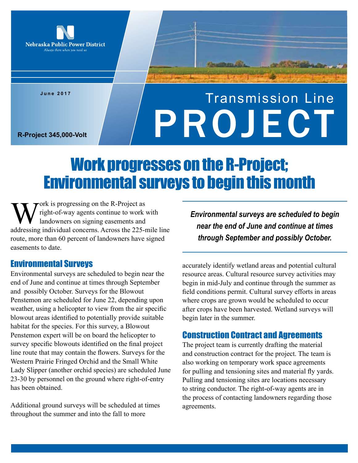

**June 2017**

# Transmission Line R-Project 345,000-Volt

## Work progresses on the R-Project; Environmental surveys to begin this month

Work is progressing on the R-Project as<br>right-of-way agents continue to work<br>landowners on signing easements and<br>addressing individual concerns. Across the 225-r right-of-way agents continue to work with landowners on signing easements and addressing individual concerns. Across the 225-mile line route, more than 60 percent of landowners have signed easements to date.

#### Environmental Surveys

Environmental surveys are scheduled to begin near the end of June and continue at times through September and possibly October. Surveys for the Blowout Penstemon are scheduled for June 22, depending upon weather, using a helicopter to view from the air specific blowout areas identified to potentially provide suitable habitat for the species. For this survey, a Blowout Penstemon expert will be on board the helicopter to survey specific blowouts identified on the final project line route that may contain the flowers. Surveys for the Western Prairie Fringed Orchid and the Small White Lady Slipper (another orchid species) are scheduled June 23-30 by personnel on the ground where right-of-entry has been obtained.

Additional ground surveys will be scheduled at times throughout the summer and into the fall to more

*Environmental surveys are scheduled to begin near the end of June and continue at times through September and possibly October.*

accurately identify wetland areas and potential cultural resource areas. Cultural resource survey activities may begin in mid-July and continue through the summer as field conditions permit. Cultural survey efforts in areas where crops are grown would be scheduled to occur after crops have been harvested. Wetland surveys will begin later in the summer.

### Construction Contract and Agreements

The project team is currently drafting the material and construction contract for the project. The team is also working on temporary work space agreements for pulling and tensioning sites and material fly yards. Pulling and tensioning sites are locations necessary to string conductor. The right-of-way agents are in the process of contacting landowners regarding those agreements.